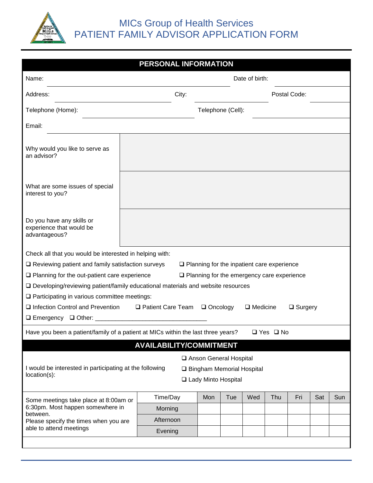

|                                                                                                                   | PERSONAL INFORMATION           |                                                   |     |     |     |              |     |     |
|-------------------------------------------------------------------------------------------------------------------|--------------------------------|---------------------------------------------------|-----|-----|-----|--------------|-----|-----|
| Name:                                                                                                             | Date of birth:                 |                                                   |     |     |     |              |     |     |
| Address:                                                                                                          | City:                          |                                                   |     |     |     | Postal Code: |     |     |
| Telephone (Home):<br>Telephone (Cell):                                                                            |                                |                                                   |     |     |     |              |     |     |
| Email:                                                                                                            |                                |                                                   |     |     |     |              |     |     |
| Why would you like to serve as<br>an advisor?                                                                     |                                |                                                   |     |     |     |              |     |     |
| What are some issues of special<br>interest to you?                                                               |                                |                                                   |     |     |     |              |     |     |
| Do you have any skills or<br>experience that would be<br>advantageous?                                            |                                |                                                   |     |     |     |              |     |     |
| Check all that you would be interested in helping with:                                                           |                                |                                                   |     |     |     |              |     |     |
| $\Box$ Reviewing patient and family satisfaction surveys                                                          |                                | $\Box$ Planning for the inpatient care experience |     |     |     |              |     |     |
| $\Box$ Planning for the out-patient care experience                                                               |                                | $\Box$ Planning for the emergency care experience |     |     |     |              |     |     |
| □ Developing/reviewing patient/family educational materials and website resources                                 |                                |                                                   |     |     |     |              |     |     |
| $\Box$ Participating in various committee meetings:                                                               |                                |                                                   |     |     |     |              |     |     |
| □ Infection Control and Prevention<br>□ Patient Care Team<br>$\Box$ Oncology<br>$\Box$ Medicine<br>$\Box$ Surgery |                                |                                                   |     |     |     |              |     |     |
| □ Emergency □ Other: _________                                                                                    |                                |                                                   |     |     |     |              |     |     |
| Have you been a patient/family of a patient at MICs within the last three years?<br>$\Box$ Yes $\Box$ No          |                                |                                                   |     |     |     |              |     |     |
|                                                                                                                   | <b>AVAILABILITY/COMMITMENT</b> |                                                   |     |     |     |              |     |     |
|                                                                                                                   |                                | Anson General Hospital                            |     |     |     |              |     |     |
| I would be interested in participating at the following<br>□ Bingham Memorial Hospital                            |                                |                                                   |     |     |     |              |     |     |
| location(s):                                                                                                      |                                | □ Lady Minto Hospital                             |     |     |     |              |     |     |
| Some meetings take place at 8:00am or                                                                             | Time/Day                       | Mon                                               | Tue | Wed | Thu | Fri          | Sat | Sun |
| 6:30pm. Most happen somewhere in                                                                                  | Morning                        |                                                   |     |     |     |              |     |     |
| between.<br>Please specify the times when you are                                                                 | Afternoon                      |                                                   |     |     |     |              |     |     |
| able to attend meetings                                                                                           | Evening                        |                                                   |     |     |     |              |     |     |
|                                                                                                                   |                                |                                                   |     |     |     |              |     |     |